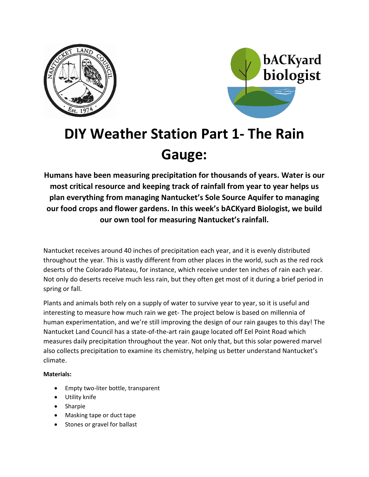



# **DIY Weather Station Part 1- The Rain Gauge:**

**Humans have been measuring precipitation for thousands of years. Water is our most critical resource and keeping track of rainfall from year to year helps us plan everything from managing Nantucket's Sole Source Aquifer to managing our food crops and flower gardens. In this week's bACKyard Biologist, we build our own tool for measuring Nantucket's rainfall.**

Nantucket receives around 40 inches of precipitation each year, and it is evenly distributed throughout the year. This is vastly different from other places in the world, such as the red rock deserts of the Colorado Plateau, for instance, which receive under ten inches of rain each year. Not only do deserts receive much less rain, but they often get most of it during a brief period in spring or fall.

Plants and animals both rely on a supply of water to survive year to year, so it is useful and interesting to measure how much rain we get- The project below is based on millennia of human experimentation, and we're still improving the design of our rain gauges to this day! The Nantucket Land Council has a state-of-the-art rain gauge located off Eel Point Road which measures daily precipitation throughout the year. Not only that, but this solar powered marvel also collects precipitation to examine its chemistry, helping us better understand Nantucket's climate.

### **Materials:**

- Empty two-liter bottle, transparent
- Utility knife
- Sharpie
- Masking tape or duct tape
- Stones or gravel for ballast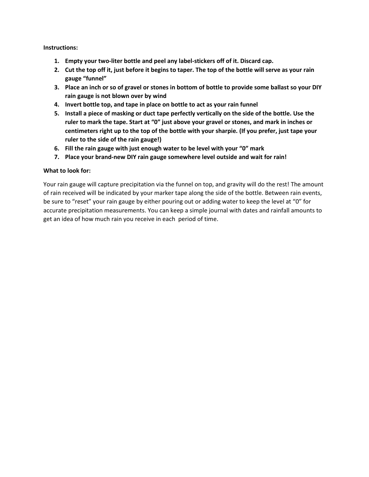#### **Instructions:**

- **1. Empty your two-liter bottle and peel any label-stickers off of it. Discard cap.**
- **2. Cut the top off it, just before it begins to taper. The top of the bottle will serve as your rain gauge "funnel"**
- **3. Place an inch or so of gravel or stones in bottom of bottle to provide some ballast so your DIY rain gauge is not blown over by wind**
- **4. Invert bottle top, and tape in place on bottle to act as your rain funnel**
- **5. Install a piece of masking or duct tape perfectly vertically on the side of the bottle. Use the ruler to mark the tape. Start at "0" just above your gravel or stones, and mark in inches or centimeters right up to the top of the bottle with your sharpie. (If you prefer, just tape your ruler to the side of the rain gauge!)**
- **6. Fill the rain gauge with just enough water to be level with your "0" mark**
- **7. Place your brand-new DIY rain gauge somewhere level outside and wait for rain!**

#### **What to look for:**

Your rain gauge will capture precipitation via the funnel on top, and gravity will do the rest! The amount of rain received will be indicated by your marker tape along the side of the bottle. Between rain events, be sure to "reset" your rain gauge by either pouring out or adding water to keep the level at "0" for accurate precipitation measurements. You can keep a simple journal with dates and rainfall amounts to get an idea of how much rain you receive in each period of time.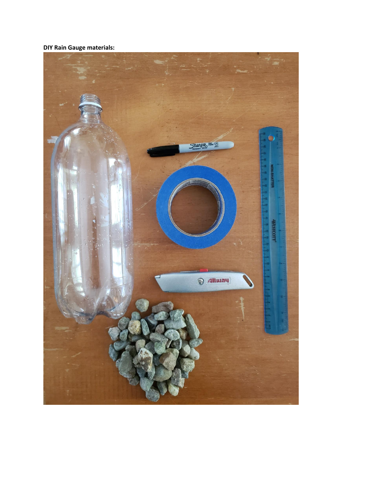**DIY Rain Gauge materials:**